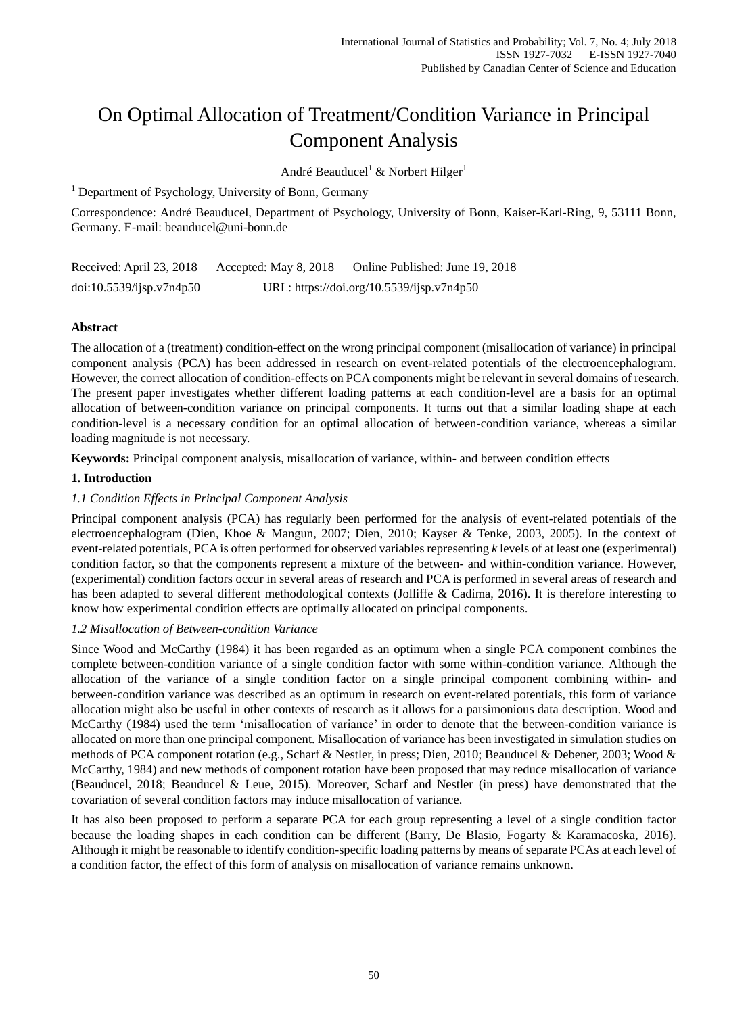# On Optimal Allocation of Treatment/Condition Variance in Principal Component Analysis

André Beauducel<sup>1</sup> & Norbert Hilger<sup>1</sup>

<sup>1</sup> Department of Psychology, University of Bonn, Germany

Correspondence: André Beauducel, Department of Psychology, University of Bonn, Kaiser-Karl-Ring, 9, 53111 Bonn, Germany. E-mail: beauducel@uni-bonn.de

| Received: April 23, 2018 | Accepted: May 8, 2018                     | Online Published: June 19, 2018 |
|--------------------------|-------------------------------------------|---------------------------------|
| doi:10.5539/ijsp.v7n4p50 | URL: https://doi.org/10.5539/ijsp.v7n4p50 |                                 |

# **Abstract**

The allocation of a (treatment) condition-effect on the wrong principal component (misallocation of variance) in principal component analysis (PCA) has been addressed in research on event-related potentials of the electroencephalogram. However, the correct allocation of condition-effects on PCA components might be relevant in several domains of research. The present paper investigates whether different loading patterns at each condition-level are a basis for an optimal allocation of between-condition variance on principal components. It turns out that a similar loading shape at each condition-level is a necessary condition for an optimal allocation of between-condition variance, whereas a similar loading magnitude is not necessary.

**Keywords:** Principal component analysis, misallocation of variance, within- and between condition effects

# **1. Introduction**

# *1.1 Condition Effects in Principal Component Analysis*

Principal component analysis (PCA) has regularly been performed for the analysis of event-related potentials of the electroencephalogram (Dien, Khoe & Mangun, 2007; Dien, 2010; Kayser & Tenke, 2003, 2005). In the context of event-related potentials, PCA is often performed for observed variables representing *k* levels of at least one (experimental) condition factor, so that the components represent a mixture of the between- and within-condition variance. However, (experimental) condition factors occur in several areas of research and PCA is performed in several areas of research and has been adapted to several different methodological contexts (Jolliffe & Cadima, 2016). It is therefore interesting to know how experimental condition effects are optimally allocated on principal components.

# *1.2 Misallocation of Between-condition Variance*

Since Wood and McCarthy (1984) it has been regarded as an optimum when a single PCA component combines the complete between-condition variance of a single condition factor with some within-condition variance. Although the allocation of the variance of a single condition factor on a single principal component combining within- and between-condition variance was described as an optimum in research on event-related potentials, this form of variance allocation might also be useful in other contexts of research as it allows for a parsimonious data description. Wood and McCarthy (1984) used the term "misallocation of variance" in order to denote that the between-condition variance is allocated on more than one principal component. Misallocation of variance has been investigated in simulation studies on methods of PCA component rotation (e.g., Scharf & Nestler, in press; Dien, 2010; Beauducel & Debener, 2003; Wood & McCarthy, 1984) and new methods of component rotation have been proposed that may reduce misallocation of variance (Beauducel, 2018; Beauducel & Leue, 2015). Moreover, Scharf and Nestler (in press) have demonstrated that the covariation of several condition factors may induce misallocation of variance.

It has also been proposed to perform a separate PCA for each group representing a level of a single condition factor because the loading shapes in each condition can be different (Barry, De Blasio, Fogarty & Karamacoska, 2016). Although it might be reasonable to identify condition-specific loading patterns by means of separate PCAs at each level of a condition factor, the effect of this form of analysis on misallocation of variance remains unknown.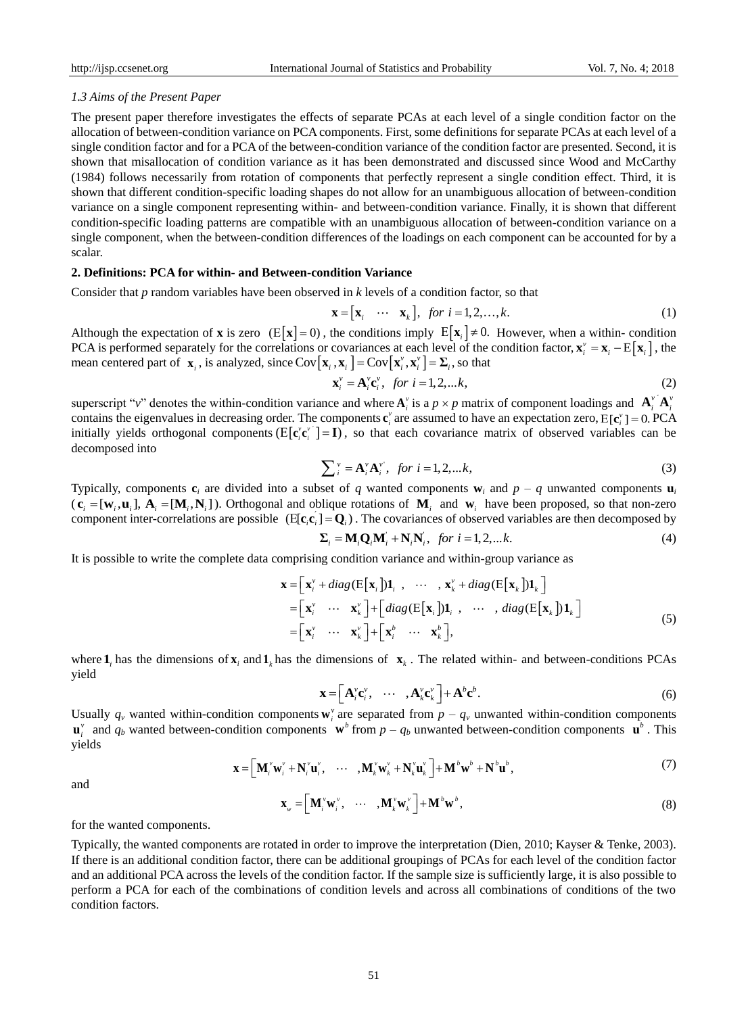## *1.3 Aims of the Present Paper*

The present paper therefore investigates the effects of separate PCAs at each level of a single condition factor on the allocation of between-condition variance on PCA components. First, some definitions for separate PCAs at each level of a single condition factor and for a PCA of the between-condition variance of the condition factor are presented. Second, it is shown that misallocation of condition variance as it has been demonstrated and discussed since Wood and McCarthy (1984) follows necessarily from rotation of components that perfectly represent a single condition effect. Third, it is shown that different condition-specific loading shapes do not allow for an unambiguous allocation of between-condition variance on a single component representing within- and between-condition variance. Finally, it is shown that different condition-specific loading patterns are compatible with an unambiguous allocation of between-condition variance on a single component, when the between-condition differences of the loadings on each component can be accounted for by a scalar.

## **2. Definitions: PCA for within- and Between-condition Variance**

Consider that *p* random variables have been observed in *k* levels of a condition factor, so that

$$
\mathbf{x} = [\mathbf{x}_i \cdots \mathbf{x}_k], \text{ for } i = 1, 2, \dots, k. \tag{1}
$$

Although the expectation of **x** is zero ( $E[X] = 0$ ), the conditions imply  $E[X_i] \neq 0$ . However, when a within-condition PCA is performed separately for the correlations or covariances at each level of the condition factor,  $\mathbf{x}_{i}^{v} = \mathbf{x}_{i} - \mathrm{E}[\mathbf{x}_{i}]$ , the FCA is performed separately for the correlations of covariances at each level of the mean centered part of  $\mathbf{x}_i$ , is analyzed, since  $Cov[\mathbf{x}_i, \mathbf{x}_i] = Cov[\mathbf{x}_i^y, \mathbf{x}_i^y] = \Sigma_i$ , so that

$$
\mathbf{x}_{i}^{\nu} = \mathbf{A}_{i}^{\nu} \mathbf{c}_{i}^{\nu}, \text{ for } i = 1, 2, \dots k,
$$
 (2)

superscript "v" denotes the within-condition variance and where  $A_i^v$  is a  $p \times p$  matrix of component loadings and  $A_i^v \hat{A}_i^v$ contains the eigenvalues in decreasing order. The components  $\mathbf{c}_i^v$  are assumed to have an expectation zero,  $E[\mathbf{c}_i^v] = 0$ . PCA initially yields orthogonal components  $(E[c_i^v c_i^v] = I)$ , so that each covariance matrix of observed variables can be decomposed into

$$
\sum_{i}^{\nu} = \mathbf{A}_{i}^{\nu} \mathbf{A}_{i}^{\nu}, \text{ for } i = 1, 2, \dots k,
$$
\n<sup>(3)</sup>

Typically, components  $\mathbf{c}_i$  are divided into a subset of *q* wanted components  $\mathbf{w}_i$  and  $p - q$  unwanted components  $\mathbf{u}_i$  $(c_i = [w_i, u_i], A_i = [M_i, N_i])$ . Orthogonal and oblique rotations of  $M_i$  and  $w_i$  have been proposed, so that non-zero component inter-correlations are possible  $(E[c_i c_i] = Q_i)$ . The covariances of observed variables are then decomposed by

$$
\Sigma_i = \mathbf{M}_i \mathbf{Q}_i \mathbf{M}_i + \mathbf{N}_i \mathbf{N}_i, \text{ for } i = 1, 2, \dots k. \tag{4}
$$

It is possible to write the complete data comprising condition variance and within-group variance as  
\n
$$
\mathbf{x} = \begin{bmatrix} \mathbf{x}_i^v + diag(\mathbf{E}[\mathbf{x}_i])\mathbf{1}_i, & \cdots, \mathbf{x}_k^v + diag(\mathbf{E}[\mathbf{x}_k])\mathbf{1}_k \end{bmatrix}
$$
\n
$$
= \begin{bmatrix} \mathbf{x}_i^v & \cdots & \mathbf{x}_k^v \end{bmatrix} + \begin{bmatrix} diag(\mathbf{E}[\mathbf{x}_i])\mathbf{1}_i, & \cdots, diag(\mathbf{E}[\mathbf{x}_k])\mathbf{1}_k \end{bmatrix}
$$
\n
$$
= \begin{bmatrix} \mathbf{x}_i^v & \cdots & \mathbf{x}_k^v \end{bmatrix} + \begin{bmatrix} \mathbf{x}_i^b & \cdots & \mathbf{x}_k^b \end{bmatrix},
$$
\n(5)

where  $\mathbf{1}_i$  has the dimensions of  $\mathbf{x}_i$  and  $\mathbf{1}_k$  has the dimensions of  $\mathbf{x}_k$ . The related within- and between-conditions PCAs yield

$$
\mathbf{x} = \left[ \mathbf{A}_i^{\nu} \mathbf{c}_i^{\nu}, \quad \cdots \quad , \mathbf{A}_k^{\nu} \mathbf{c}_k^{\nu} \right] + \mathbf{A}^{\nu} \mathbf{c}^{\nu}.
$$
 (6)

Usually  $q_v$  wanted within-condition components  $w_i^v$  are separated from  $p - q_v$  unwanted within-condition components  $\mathbf{u}^{\nu}$  and  $q_b$  wanted between-condition components  $\mathbf{w}^b$  from  $p - q_b$  unwanted between-condition components  $\mathbf{u}^b$ . This yields

$$
\mathbf{x} = \left[\mathbf{M}_{i}^{v}\mathbf{w}_{i}^{v} + \mathbf{N}_{i}^{v}\mathbf{u}_{i}^{v}, \quad \cdots \quad, \mathbf{M}_{k}^{v}\mathbf{w}_{k}^{v} + \mathbf{N}_{k}^{v}\mathbf{u}_{k}^{v}\right] + \mathbf{M}^{b}\mathbf{w}^{b} + \mathbf{N}^{b}\mathbf{u}^{b},\tag{7}
$$

and

$$
\mathbf{x}_{w} = \left[\mathbf{M}_{i}^{v} \mathbf{w}_{i}^{v}, \cdots, \mathbf{M}_{k}^{v} \mathbf{w}_{k}^{v}\right] + \mathbf{M}^{b} \mathbf{w}^{b}, \qquad (8)
$$

for the wanted components.

Typically, the wanted components are rotated in order to improve the interpretation (Dien, 2010; Kayser & Tenke, 2003). If there is an additional condition factor, there can be additional groupings of PCAs for each level of the condition factor and an additional PCA across the levels of the condition factor. If the sample size is sufficiently large, it is also possible to perform a PCA for each of the combinations of condition levels and across all combinations of conditions of the two condition factors.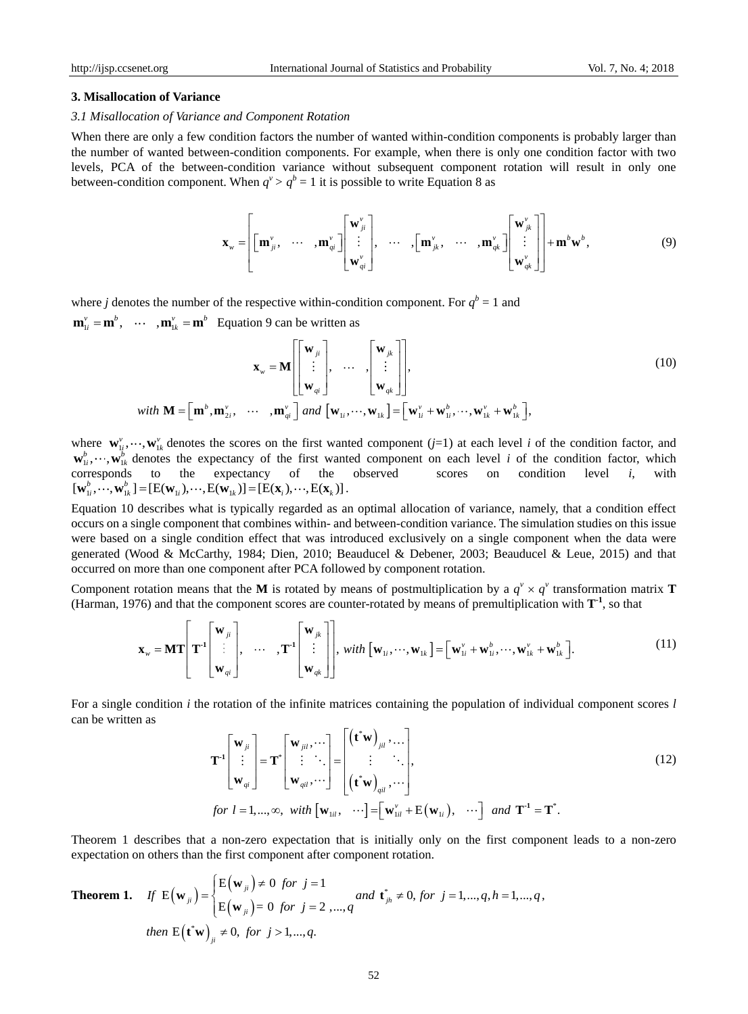#### **3. Misallocation of Variance**

#### *3.1 Misallocation of Variance and Component Rotation*

When there are only a few condition factors the number of wanted within-condition components is probably larger than the number of wanted between-condition components. For example, when there is only one condition factor with two levels, PCA of the between-condition variance without subsequent component rotation will result in only one between-condition component. When  $q^v > q^b = 1$  it is possible to write Equation 8 as

$$
\mathbf{x}_{w} = \left[ \begin{bmatrix} \mathbf{m}_{ji}^{v}, & \cdots & \mathbf{m}_{qi}^{v} \end{bmatrix} \begin{bmatrix} \mathbf{w}_{ji}^{v} \\ \vdots \\ \mathbf{w}_{qi}^{v} \end{bmatrix}, \quad \cdots \quad , \begin{bmatrix} \mathbf{m}_{jk}^{v}, & \cdots & \mathbf{m}_{qk}^{v} \end{bmatrix} \begin{bmatrix} \mathbf{w}_{jk}^{v} \\ \vdots \\ \mathbf{w}_{qk}^{v} \end{bmatrix} \right] + \mathbf{m}^{b} \mathbf{w}^{b}, \tag{9}
$$

where *j* denotes the number of the respective within-condition component. For  $q^b = 1$  and  $\mathbf{m}_{1i}^{\nu} = \mathbf{m}^b$ ,  $\cdots$  ,  $\mathbf{m}_{1k}^{\nu} = \mathbf{m}^b$  Equation 9 can be written as

$$
\mathbf{x}_{w} = \mathbf{M} \begin{bmatrix} \mathbf{w}_{ji} \\ \vdots \\ \mathbf{w}_{qi} \end{bmatrix}, \quad \dots \quad , \begin{bmatrix} \mathbf{w}_{jk} \\ \vdots \\ \mathbf{w}_{qk} \end{bmatrix},
$$
\n
$$
with \quad \mathbf{M} = \begin{bmatrix} \mathbf{m}^{b}, \mathbf{m}_{2i}^{v}, \quad \cdots \quad, \mathbf{m}_{qi}^{v} \end{bmatrix} and \quad \begin{bmatrix} \mathbf{w}_{1i}, \cdots, \mathbf{w}_{1k} \end{bmatrix} = \begin{bmatrix} \mathbf{w}_{1i}^{v} + \mathbf{w}_{1i}^{b}, \cdots, \mathbf{w}_{1k}^{v} + \mathbf{w}_{1k}^{b} \end{bmatrix},
$$
\n(10)

where  $\mathbf{w}_{1i}^{\nu}, \dots, \mathbf{w}_{1k}^{\nu}$  denotes the scores on the first wanted component (*j*=1) at each level *i* of the condition factor, and  $\mathbf{w}_{1i}^b, \dots, \mathbf{w}_{1k}^b$  denotes the expectancy of the first wanted component on each level *i* of the condition factor, which corresponds to the expectancy of the observed scores on condition level *i*, with  $[\mathbf{w}_{1i}^b, \cdots, \mathbf{w}_{1k}^b] = [\mathbf{E}(\mathbf{w}_{1i}), \cdots, \mathbf{E}(\mathbf{w}_{1k})] = [\mathbf{E}(\mathbf{x}_i), \cdots, \mathbf{E}(\mathbf{x}_k)].$ 

Equation 10 describes what is typically regarded as an optimal allocation of variance, namely, that a condition effect occurs on a single component that combines within- and between-condition variance. The simulation studies on this issue were based on a single condition effect that was introduced exclusively on a single component when the data were generated (Wood & McCarthy, 1984; Dien, 2010; Beauducel & Debener, 2003; Beauducel & Leue, 2015) and that occurred on more than one component after PCA followed by component rotation.

Component rotation means that the M is rotated by means of postmultiplication by a  $q^v \times q^v$  transformation matrix **T** (Harman, 1976) and that the component scores are counter-rotated by means of premultiplication with **T -1** , so that

$$
\mathbf{x}_{w} = \mathbf{M} \mathbf{T} \begin{bmatrix} \mathbf{w}_{ji} \\ \vdots \\ \mathbf{w}_{qi} \end{bmatrix}, \quad \cdots \quad , \mathbf{T}^{-1} \begin{bmatrix} \mathbf{w}_{jk} \\ \vdots \\ \mathbf{w}_{qk} \end{bmatrix}, \quad \text{with } [\mathbf{w}_{1i}, \cdots, \mathbf{w}_{1k}] = [\mathbf{w}_{1i}^{v} + \mathbf{w}_{1i}^{b}, \cdots, \mathbf{w}_{1k}^{v} + \mathbf{w}_{1k}^{b}].
$$
 (11)

For a single condition *i* the rotation of the infinite matrices containing the population of individual component scores *l* can be written as

$$
\begin{bmatrix}\n\mathbf{w}_{ij} & \mathbf{w}_{ij}\n\end{bmatrix}\n\begin{bmatrix}\n\mathbf{w}_{ji} & \mathbf{w}_{ij}\n\end{bmatrix}\n\begin{bmatrix}\n\mathbf{w}_{ji} & \mathbf{w}_{ij}\n\end{bmatrix}\n\begin{bmatrix}\n\mathbf{w}_{ji} & \mathbf{w}_{ij}\n\end{bmatrix}\n\begin{bmatrix}\n\mathbf{w}_{ji} & \mathbf{w}_{ij}\n\end{bmatrix}\n\begin{bmatrix}\n\mathbf{w}_{ji} & \mathbf{w}_{ij}\n\end{bmatrix}\n\begin{bmatrix}\n\mathbf{w}_{ji} & \mathbf{w}_{ij}\n\end{bmatrix}\n\begin{bmatrix}\n\mathbf{w}_{ji} & \mathbf{w}_{ij}\n\end{bmatrix}\n\begin{bmatrix}\n\mathbf{w}_{ji} & \mathbf{w}_{ij}\n\end{bmatrix}\n\begin{bmatrix}\n\mathbf{w}_{ji} & \mathbf{w}_{ij}\n\end{bmatrix}\n\begin{bmatrix}\n\mathbf{w}_{ji} & \mathbf{w}_{ij}\n\end{bmatrix}\n\begin{bmatrix}\n\mathbf{w}_{ji} & \mathbf{w}_{ij} & \mathbf{w}_{ij}\n\end{bmatrix}\n\begin{bmatrix}\n\mathbf{w}_{ij} & \mathbf{w}_{ij} & \mathbf{w}_{ij}\n\end{bmatrix}\n\begin{bmatrix}\n\mathbf{w}_{ij} & \mathbf{w}_{ij} & \mathbf{w}_{ij}\n\end{bmatrix}\n\begin{bmatrix}\n\mathbf{w}_{ij} & \mathbf{w}_{ij} & \mathbf{w}_{ij}\n\end{bmatrix}\n\begin{bmatrix}\n\mathbf{w}_{ij} & \mathbf{w}_{ij} & \mathbf{w}_{ij}\n\end{bmatrix}\n\begin{bmatrix}\n\mathbf{w}_{ij} & \mathbf{w}_{ij} & \mathbf{w}_{ij}\n\end{bmatrix}\n\begin{bmatrix}\n\mathbf{w}_{ij} & \mathbf{w}_{ij} & \mathbf{w}_{ij}\n\end{bmatrix}\n\begin{bmatrix}\n\mathbf{w}_{ij} & \mathbf{w}_{ij} & \mathbf{w}_{ij}\n\end{bmatrix}\n\begin{bmatrix}\n\mathbf{w}_{ij} & \mathbf{w}_{ij} & \mathbf{w}_{ij}\n\end{bmatrix}\n\begin{bmatrix}\n\mathbf{w}_{ij} & \mathbf{w}_{ij} & \mathbf{w}_{ij}\n\end{bmatrix
$$

Theorem 1 describes that a non-zero expectation that is initially only on the first component leads to a non-zero expectation on others than the first component after component rotation.

**Theorem 1.** If 
$$
E(\mathbf{w}_{ji}) = \begin{cases} E(\mathbf{w}_{ji}) \neq 0 \text{ for } j = 1 \\ E(\mathbf{w}_{ji}) = 0 \text{ for } j = 2, ..., q \end{cases}
$$
 and  $\mathbf{t}_{jh}^* \neq 0$ , for  $j = 1,...,q, h = 1,...,q$ ,  
then  $E(\mathbf{t}^*\mathbf{w})_{ji} \neq 0$ , for  $j > 1,...,q$ .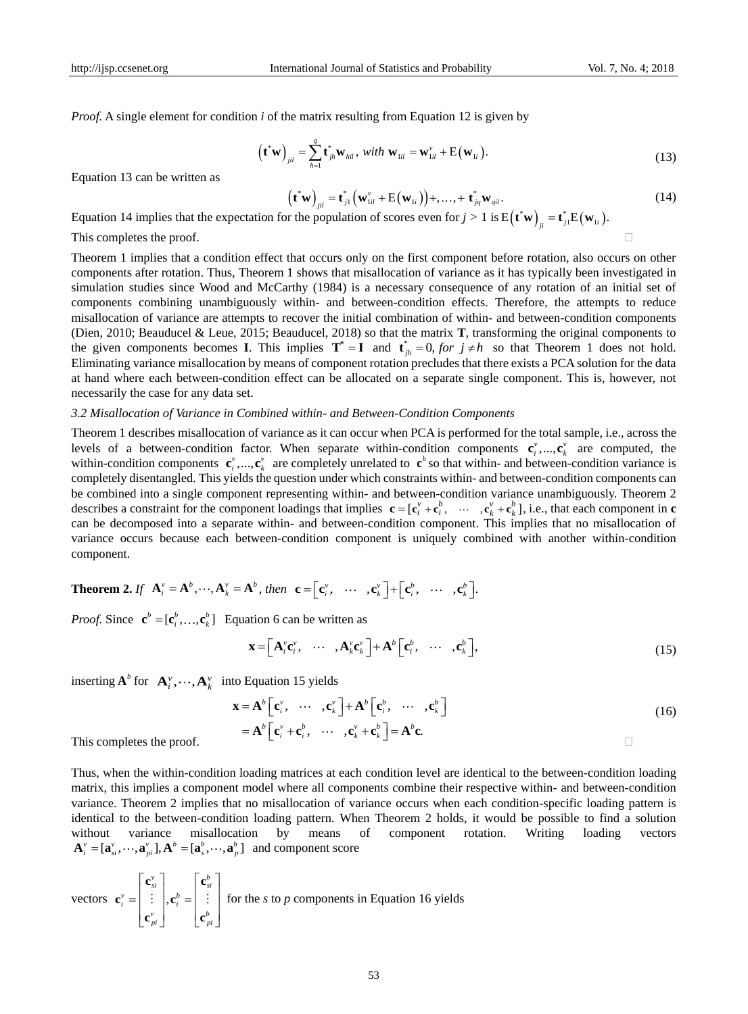*Proof.* A single element for condition *i* of the matrix resulting from Equation 12 is given by

$$
\left(\mathbf{t}^*\mathbf{w}\right)_{jil} = \sum_{h=1}^q \mathbf{t}^*_{jh}\mathbf{w}_{hil}, \ \text{with } \mathbf{w}_{1il} = \mathbf{w}_{1il}^{\nu} + \mathbf{E}\left(\mathbf{w}_{1i}\right). \tag{13}
$$

Equation 13 can be written as

$$
\left(\mathbf{t}^*\mathbf{w}\right)_{jil} = \mathbf{t}_{j1}^*\left(\mathbf{w}_{1il}^* + \mathbf{E}(\mathbf{w}_{1i})\right) + \dots + \mathbf{t}_{jq}^*\mathbf{w}_{ql}. \tag{14}
$$

Equation 14 implies that the expectation for the population of scores even for  $j > 1$  is  $E(t^*w)_{ii} = t^*_{i} E(w_{ii})$ .

This completes the proof.

Theorem 1 implies that a condition effect that occurs only on the first component before rotation, also occurs on other components after rotation. Thus, Theorem 1 shows that misallocation of variance as it has typically been investigated in simulation studies since Wood and McCarthy (1984) is a necessary consequence of any rotation of an initial set of components combining unambiguously within- and between-condition effects. Therefore, the attempts to reduce misallocation of variance are attempts to recover the initial combination of within- and between-condition components (Dien, 2010; Beauducel & Leue, 2015; Beauducel, 2018) so that the matrix **T**, transforming the original components to the given components becomes **I**. This implies  $T^* = I$  and  $t^*_{jh} = 0$ , for  $j \neq h$  so that Theorem 1 does not hold. Eliminating variance misallocation by means of component rotation precludes that there exists a PCA solution for the data at hand where each between-condition effect can be allocated on a separate single component. This is, however, not necessarily the case for any data set.

### *3.2 Misallocation of Variance in Combined within- and Between-Condition Components*

Theorem 1 describes misallocation of variance as it can occur when PCA is performed for the total sample, i.e., across the levels of a between-condition factor. When separate within-condition components  ${\bf e}_i^{\nu},...,{\bf c}_k^{\nu}$  are computed, the within-condition components  $\mathbf{c}_i^v$ , ...,  $\mathbf{c}_k^v$  are completely unrelated to  $\mathbf{c}^b$  so that within- and between-condition variance is completely disentangled. This yields the question under which constraints within- and between-condition components can be combined into a single component representing within- and between-condition variance unambiguously. Theorem 2 describes a constraint for the component loadings that implies  $\mathbf{c} = [\mathbf{c}_i^v + \mathbf{c}_i^b, \cdots, \mathbf{c}_k^v + \mathbf{c}_k^b]$ , i.e., that each component in  $\mathbf{c}$ can be decomposed into a separate within- and between-condition component. This implies that no misallocation of variance occurs because each between-condition component is uniquely combined with another within-condition component.

**Theorem 2.** If 
$$
\mathbf{A}_i^v = \mathbf{A}^b
$$
,  $\cdots$ ,  $\mathbf{A}_k^v = \mathbf{A}^b$ , then  $\mathbf{c} = [\mathbf{c}_i^v, \cdots, \mathbf{c}_k^v] + [\mathbf{c}_i^b, \cdots, \mathbf{c}_k^b]$ .

*Proof.* Since  $\mathbf{c}^b = [\mathbf{c}_i^b, ..., \mathbf{c}_k^b]$  Equation 6 can be written as

$$
\mathbf{x} = \left[ \mathbf{A}_i^{\nu} \mathbf{c}_i^{\nu}, \cdots, \mathbf{A}_k^{\nu} \mathbf{c}_k^{\nu} \right] + \mathbf{A}^b \left[ \mathbf{c}_i^b, \cdots, \mathbf{c}_k^b \right],
$$
 (15)

inserting  $\mathbf{A}^b$  for  $\mathbf{A}^v_i, \dots, \mathbf{A}^v_k$  into Equation 15 yields

$$
\mathbf{x} = \mathbf{A}^{b} \left[ \mathbf{c}_{i}^{v}, \cdots, \mathbf{c}_{k}^{v} \right] + \mathbf{A}^{b} \left[ \mathbf{c}_{i}^{b}, \cdots, \mathbf{c}_{k}^{b} \right]
$$
  
=  $\mathbf{A}^{b} \left[ \mathbf{c}_{i}^{v} + \mathbf{c}_{i}^{b}, \cdots, \mathbf{c}_{k}^{v} + \mathbf{c}_{k}^{b} \right] = \mathbf{A}^{b} \mathbf{c}.$  (16)

This completes the proof.

Thus, when the within-condition loading matrices at each condition level are identical to the between-condition loading matrix, this implies a component model where all components combine their respective within- and between-condition variance. Theorem 2 implies that no misallocation of variance occurs when each condition-specific loading pattern is identical to the between-condition loading pattern. When Theorem 2 holds, it would be possible to find a solution without variance misallocation by means of component rotation. Writing loading vectors  $\mathbf{A}_{i}^{\nu} = [\mathbf{a}_{si}^{\nu}, \cdots, \mathbf{a}_{pi}^{\nu}], \mathbf{A}^{b} = [\mathbf{a}_{s}^{b}, \cdots, \mathbf{a}_{p}^{b}]$  and component score

vectors 
$$
\mathbf{c}_i^v = \begin{bmatrix} \mathbf{c}_{si}^v \\ \vdots \\ \mathbf{c}_{pi}^v \end{bmatrix}, \mathbf{c}_i^b = \begin{bmatrix} \mathbf{c}_{si}^b \\ \vdots \\ \mathbf{c}_{pi}^b \end{bmatrix}
$$
 for the *s* to *p* components in Equation 16 yields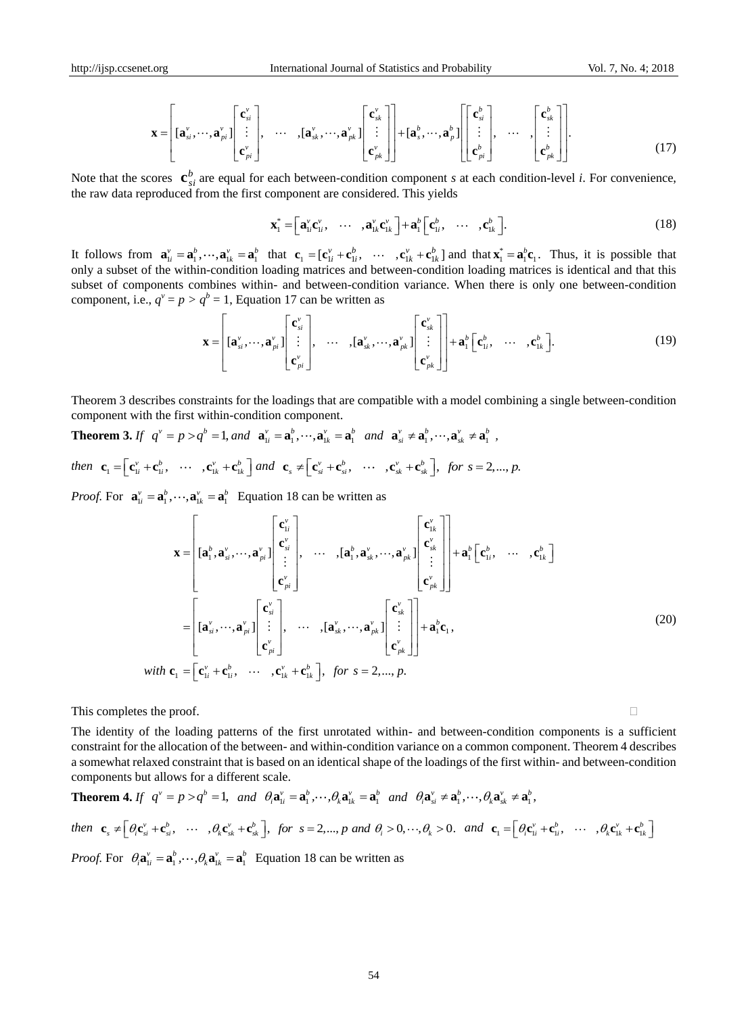$$
\mathbf{x} = \begin{bmatrix} [\mathbf{a}_{si}^{\nu}, \cdots, \mathbf{a}_{pi}^{\nu}] \begin{bmatrix} \mathbf{c}_{si}^{\nu} \\ \vdots \\ \mathbf{c}_{pi}^{\nu} \end{bmatrix}, \quad \cdots \quad , [\mathbf{a}_{sk}^{\nu}, \cdots, \mathbf{a}_{pk}^{\nu}] \begin{bmatrix} \mathbf{c}_{sk}^{\nu} \\ \vdots \\ \mathbf{c}_{pk}^{\nu} \end{bmatrix} + [\mathbf{a}_{s}^{b}, \cdots, \mathbf{a}_{p}^{b}] \begin{bmatrix} \mathbf{c}_{si}^{b} \\ \vdots \\ \mathbf{c}_{pi}^{b} \end{bmatrix}, \quad \cdots \quad , \begin{bmatrix} \mathbf{c}_{sk}^{b} \\ \vdots \\ \mathbf{c}_{pk}^{b} \end{bmatrix} .
$$
 (17)

Note that the scores  $\mathbf{c}_{si}^b$  are equal for each between-condition component *s* at each condition-level *i*. For convenience, the raw data reproduced from the first component are considered. This yields

$$
\mathbf{x}_{1}^{*} = \begin{bmatrix} \mathbf{a}_{1i}^{*} \mathbf{c}_{1i}^{*}, & \cdots & \mathbf{a}_{1k}^{*} \mathbf{c}_{1k}^{*} \end{bmatrix} + \mathbf{a}_{1}^{b} \begin{bmatrix} \mathbf{c}_{1i}^{b}, & \cdots & \mathbf{c}_{1k}^{b} \end{bmatrix}.
$$
 (18)

It follows from  $\mathbf{a}_{1i}^{\nu} = \mathbf{a}_1^{\nu}, \dots, \mathbf{a}_{1k}^{\nu} = \mathbf{a}_1^{\nu}$  that  $\mathbf{c}_1 = [\mathbf{c}_{1i}^{\nu} + \mathbf{c}_{1i}^{\nu}, \dots, \mathbf{c}_{1k}^{\nu} + \mathbf{c}_{1k}^{\nu}]$  and that  $\mathbf{x}_1^* = \mathbf{a}_1^{\nu} \mathbf{c}_1$ . Thus, it is possible that only a subset of the within-condition loading matrices and between-condition loading matrices is identical and that this subset of components combines within- and between-condition variance. When there is only one between-condition component, i.e.,  $q^v = p > q^b = 1$ , Equation 17 can be written as

$$
\mathbf{x} = \left[ [\mathbf{a}_{si}^{v}, \cdots, \mathbf{a}_{pi}^{v}] \begin{bmatrix} \mathbf{c}_{si}^{v} \\ \vdots \\ \mathbf{c}_{pi}^{v} \end{bmatrix}, \quad \cdots \quad , [\mathbf{a}_{sk}^{v}, \cdots, \mathbf{a}_{pk}^{v}] \begin{bmatrix} \mathbf{c}_{sk}^{v} \\ \vdots \\ \mathbf{c}_{pk}^{v} \end{bmatrix} \right] + \mathbf{a}_{1}^{b} [\mathbf{c}_{1i}^{b}, \quad \cdots \quad , \mathbf{c}_{1k}^{b}].
$$
 (19)

Theorem 3 describes constraints for the loadings that are compatible with a model combining a single between-condition component with the first within-condition component.

**Theorem 3.** If  $q^v = p > q^b = 1$ , and  $\mathbf{a}_{1i}^v = \mathbf{a}_1^b, \dots, \mathbf{a}_{1k}^v = \mathbf{a}_1^b$  and  $\mathbf{a}_{si}^v \neq \mathbf{a}_1^b, \dots, \mathbf{a}_{sk}^v \neq \mathbf{a}_1^b$ ,

*then*  $\mathbf{c}_1 = \left[\mathbf{c}_{1i}^v + \mathbf{c}_{1i}^b, \cdots, \mathbf{c}_{1k}^v + \mathbf{c}_{1k}^b\right]$  and  $\mathbf{c}_s \neq \left[\mathbf{c}_{si}^v + \mathbf{c}_{si}^b, \cdots, \mathbf{c}_{sk}^v + \mathbf{c}_{sk}^b\right]$ , for  $s = 2, ..., p$ .

*Proof.* For  $\mathbf{a}_{1i}^{\nu} = \mathbf{a}_1^{\nu}, \dots, \mathbf{a}_{1k}^{\nu} = \mathbf{a}_1^{\nu}$  Equation 18 can be written as

$$
\mathbf{x} = \begin{bmatrix} \mathbf{c}_{1}^{b} \\ \mathbf{a}_{1}^{b} \cdot \mathbf{a}_{si}^{v}, \cdots, \mathbf{a}_{pi}^{v} \end{bmatrix} \begin{bmatrix} \mathbf{c}_{1}^{v} \\ \mathbf{c}_{si}^{v} \\ \vdots \\ \mathbf{c}_{pi}^{v} \end{bmatrix}, \quad \cdots \quad , [\mathbf{a}_{1}^{b} \cdot \mathbf{a}_{sk}^{v}, \cdots, \mathbf{a}_{pi}^{v}] \begin{bmatrix} \mathbf{c}_{1k}^{v} \\ \mathbf{c}_{sk}^{v} \\ \vdots \\ \mathbf{c}_{pk}^{v} \end{bmatrix} + \mathbf{a}_{1}^{b} \begin{bmatrix} \mathbf{c}_{1i}^{b} \\ \mathbf{c}_{1i}^{b} \\ \vdots \\ \mathbf{c}_{1k}^{v} \end{bmatrix}
$$

$$
= \begin{bmatrix} [\mathbf{a}_{si}^{v}, \cdots, \mathbf{a}_{pi}^{v}] \begin{bmatrix} \mathbf{c}_{si}^{v} \\ \vdots \\ \mathbf{c}_{pi}^{v} \end{bmatrix}, \quad \cdots \quad , [\mathbf{a}_{sk}^{v}, \cdots, \mathbf{a}_{pk}^{v}] \begin{bmatrix} \mathbf{c}_{sk}^{v} \\ \vdots \\ \mathbf{c}_{pk}^{v} \end{bmatrix} + \mathbf{a}_{1}^{b} \mathbf{c}_{1}, \quad \cdots \quad \cdots \quad \mathbf{c}_{1k}^{b} = \begin{bmatrix} \mathbf{c}_{1i}^{v} + \mathbf{c}_{1i}^{b} \\ \vdots \\ \mathbf{c}_{pi}^{v} \end{bmatrix}, \quad \cdots \quad , \mathbf{c}_{1k}^{v} + \mathbf{c}_{1k}^{b} \end{bmatrix}, \quad \text{(20)}
$$

This completes the proof.

The identity of the loading patterns of the first unrotated within- and between-condition components is a sufficient constraint for the allocation of the between- and within-condition variance on a common component. Theorem 4 describes a somewhat relaxed constraint that is based on an identical shape of the loadings of the first within- and between-condition components but allows for a different scale.

**Theorem 4.** If 
$$
q^v = p > q^b = 1
$$
, and  $\theta_i \mathbf{a}_{1i}^v = \mathbf{a}_1^b, \dots, \theta_k \mathbf{a}_{1k}^v = \mathbf{a}_1^b$  and  $\theta_i \mathbf{a}_{si}^v \neq \mathbf{a}_1^b, \dots, \theta_k \mathbf{a}_{sk}^v \neq \mathbf{a}_1^b$ ,  
then  $\mathbf{c}_s \neq [\theta_i \mathbf{c}_{si}^v + \mathbf{c}_{si}^b, \dots, \theta_k \mathbf{c}_{sk}^v + \mathbf{c}_{sk}^b]$ , for  $s = 2, ..., p$  and  $\theta_i > 0, \dots, \theta_k > 0$ . and  $\mathbf{c}_1 = [\theta_i \mathbf{c}_{1i}^v + \mathbf{c}_{1i}^b, \dots, \theta_k \mathbf{c}_{1k}^v + \mathbf{c}_{1k}^b]$   
*Proof.* For  $\theta_i \mathbf{a}_{1i}^v = \mathbf{a}_1^b, \dots, \theta_k \mathbf{a}_{1k}^v = \mathbf{a}_1^b$  Equation 18 can be written as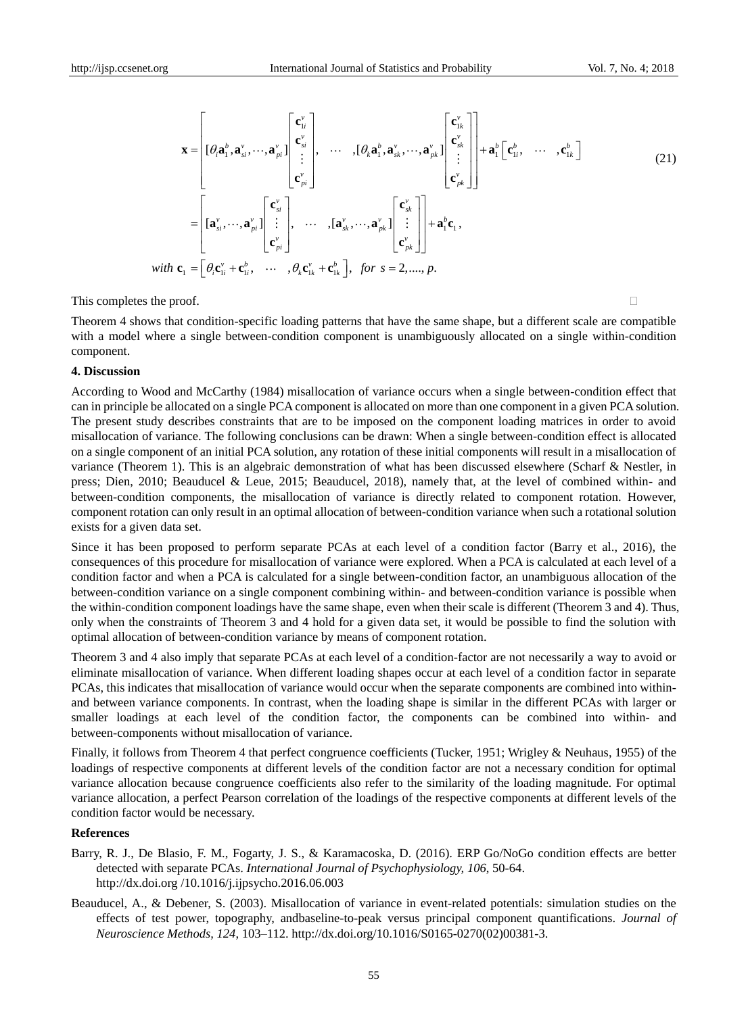$$
\mathbf{x} = \begin{bmatrix} [\boldsymbol{\theta}_{i}\mathbf{a}_{1}^{b}, \mathbf{a}_{si}^{v}, \cdots, \mathbf{a}_{pi}^{v}] \begin{bmatrix} \mathbf{c}_{1i}^{v} \\ \mathbf{c}_{si}^{v} \end{bmatrix}, \quad \cdots, [\boldsymbol{\theta}_{k}\mathbf{a}_{1}^{b}, \mathbf{a}_{sk}^{v}, \cdots, \mathbf{a}_{pk}^{v}] \begin{bmatrix} \mathbf{c}_{1k}^{v} \\ \mathbf{c}_{sk}^{v} \end{bmatrix} + \mathbf{a}_{1}^{b} [\mathbf{c}_{1i}^{b}, \quad \cdots, \mathbf{c}_{1k}^{b}] \end{bmatrix}
$$
\n
$$
= \begin{bmatrix} [\mathbf{a}_{si}^{v}, \cdots, \mathbf{a}_{pi}^{v}] \begin{bmatrix} \mathbf{c}_{si}^{v} \\ \vdots \\ \mathbf{c}_{pi}^{v} \end{bmatrix}, \quad \cdots, [\mathbf{a}_{sk}^{v}, \cdots, \mathbf{a}_{pk}^{v}] \begin{bmatrix} \mathbf{c}_{sk}^{v} \\ \vdots \\ \mathbf{c}_{pk}^{v} \end{bmatrix} + \mathbf{a}_{1}^{b} \mathbf{c}_{1},
$$
\nwith  $\mathbf{c}_{1} = [\boldsymbol{\theta}_{i} \mathbf{c}_{1i}^{v} + \mathbf{c}_{1i}^{b}, \quad \cdots, \boldsymbol{\theta}_{k} \mathbf{c}_{1k}^{v} + \mathbf{c}_{1k}^{b}], \quad \text{for } s = 2, \ldots, p.$ \n
$$
(21)
$$

This completes the proof.

Theorem 4 shows that condition-specific loading patterns that have the same shape, but a different scale are compatible with a model where a single between-condition component is unambiguously allocated on a single within-condition component.

#### **4. Discussion**

According to Wood and McCarthy (1984) misallocation of variance occurs when a single between-condition effect that can in principle be allocated on a single PCA component is allocated on more than one component in a given PCA solution. The present study describes constraints that are to be imposed on the component loading matrices in order to avoid misallocation of variance. The following conclusions can be drawn: When a single between-condition effect is allocated on a single component of an initial PCA solution, any rotation of these initial components will result in a misallocation of variance (Theorem 1). This is an algebraic demonstration of what has been discussed elsewhere (Scharf & Nestler, in press; Dien, 2010; Beauducel & Leue, 2015; Beauducel, 2018), namely that, at the level of combined within- and between-condition components, the misallocation of variance is directly related to component rotation. However, component rotation can only result in an optimal allocation of between-condition variance when such a rotational solution exists for a given data set. **X** =  $\begin{bmatrix} \mathbf{C}_n \\ \mathbf{0} \in \mathbb{R}^d, \mathbf{0} \in \mathbb{R}^d, \mathbf{0} \in \mathbb{R}^d, \mathbf{0} \in \mathbb{R}^d, \mathbf{0} \in \mathbb{R}^d, \mathbf{0} \in \mathbb{R}^d \in \mathbb{R}^d, \mathbf{0} \in \mathbb{R}^d, \mathbf{0} \in \mathbb{R}^d, \mathbf{0} \in \mathbb{R}^d, \mathbf{0} \in \mathbb{R}^d, \mathbf{0} \in \mathbb{R}^d, \mathbf$ 

Since it has been proposed to perform separate PCAs at each level of a condition factor (Barry et al., 2016), the consequences of this procedure for misallocation of variance were explored. When a PCA is calculated at each level of a condition factor and when a PCA is calculated for a single between-condition factor, an unambiguous allocation of the between-condition variance on a single component combining within- and between-condition variance is possible when the within-condition component loadings have the same shape, even when their scale is different (Theorem 3 and 4). Thus, only when the constraints of Theorem 3 and 4 hold for a given data set, it would be possible to find the solution with optimal allocation of between-condition variance by means of component rotation.

Theorem 3 and 4 also imply that separate PCAs at each level of a condition-factor are not necessarily a way to avoid or eliminate misallocation of variance. When different loading shapes occur at each level of a condition factor in separate PCAs, this indicates that misallocation of variance would occur when the separate components are combined into withinand between variance components. In contrast, when the loading shape is similar in the different PCAs with larger or smaller loadings at each level of the condition factor, the components can be combined into within- and between-components without misallocation of variance.

Finally, it follows from Theorem 4 that perfect congruence coefficients (Tucker, 1951; Wrigley & Neuhaus, 1955) of the loadings of respective components at different levels of the condition factor are not a necessary condition for optimal variance allocation because congruence coefficients also refer to the similarity of the loading magnitude. For optimal variance allocation, a perfect Pearson correlation of the loadings of the respective components at different levels of the condition factor would be necessary.

#### **References**

- Barry, R. J., De Blasio, F. M., Fogarty, J. S., & Karamacoska, D. (2016). ERP Go/NoGo condition effects are better detected with separate PCAs. *International Journal of Psychophysiology, 106*, 50-64. http://dx.doi.org /10.1016/j.ijpsycho.2016.06.003
- Beauducel, A., & Debener, S. (2003). Misallocation of variance in event-related potentials: simulation studies on the effects of test power, topography, andbaseline-to-peak versus principal component quantifications. *Journal of*